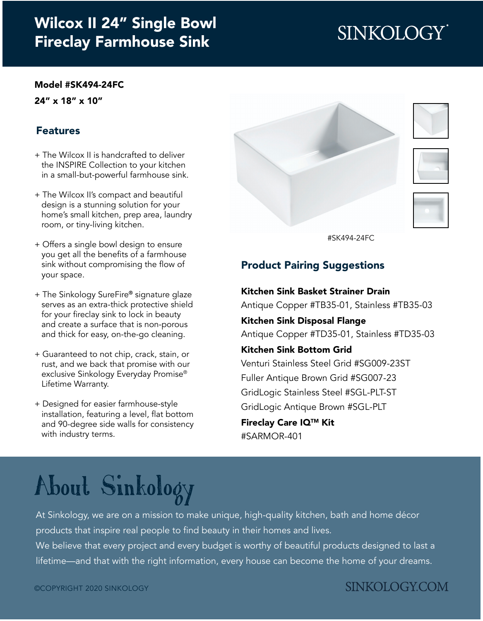## [Wilcox II 24" Single Bowl](https://www.sinkology.com/kitchen-sink/wilcox-fireclay-farmhouse-sink/) Fireclay Farmhouse Sink

# **SINKOLOGY**

#### [Model #SK494-24FC](https://www.sinkology.com/kitchen-sink/wilcox-fireclay-farmhouse-sink/)

24" x 18" x 10"

#### Features

- + The Wilcox II is handcrafted to deliver the INSPIRE Collection to your kitchen in a small-but-powerful farmhouse sink.
- + The Wilcox II's compact and beautiful design is a stunning solution for your home's small kitchen, prep area, laundry room, or tiny-living kitchen.
- + Offers a single bowl design to ensure you get all the benefits of a farmhouse sink without compromising the flow of your space.
- + The Sinkology SureFire® signature glaze serves as an extra-thick protective shield for your fireclay sink to lock in beauty and create a surface that is non-porous and thick for easy, on-the-go cleaning.
- + Guaranteed to not chip, crack, stain, or rust, and we back that promise with our exclusive Sinkology Everyday Promise® Lifetime Warranty.
- + Designed for easier farmhouse-style installation, featuring a level, flat bottom and 90-degree side walls for consistency with industry terms.



[#SK494-24FC](https://www.sinkology.com/kitchen-sink/wilcox-fireclay-farmhouse-sink/)

### Product Pairing Suggestions

Kitchen Sink Basket Strainer Drain [Antique Copper #TB35-01,](https://www.sinkology.com/kitchen-accessory/kitchen-basket-strainer-drain/) [Stainless #TB35-03](https://www.sinkology.com/kitchen-accessory/kitchen-sink-basket-strainer-drain-nickel/) Kitchen Sink Disposal Flange [Antique Copper #TD35-01,](https://www.sinkology.com/kitchen-accessory/kitchen-ise-disposal-flange-drain/) [Stainless #TD35-03](https://www.sinkology.com/kitchen-accessory/kitchen-sink-ise-disposal-flange-nickel/) Kitchen Sink Bottom Grid [Venturi Stainless Steel Grid #SG009-23ST](https://www.sinkology.com/kitchen-accessory/venturi-stainless-steel-sink-bottom-grid/) [Fuller Antique Brown Grid #SG007-23](https://www.sinkology.com/kitchen-accessory/fuller-copper-kitchen-sink-bottom-grid/) [GridLogic Stainless Steel #SGL-PLT-ST](https://www.sinkology.com/kitchen-accessory/gridlogic-bottom-grid-kitchen-sink-organizer-stainless-steel/) [GridLogic Antique Brown #SGL-PLT](https://www.sinkology.com/kitchen-accessory/gridlogic-bottom-grid-kitchen-sink-organizer-antique-brown/) Fireclay Care IQTM Kit

[#SARMOR-401](https://www.sinkology.com/kitchen-accessory/fireclay-careiq-kit/)

# [About Sinkology](https://www.sinkology.com/about-sinkology/)

At Sinkology, we are on a mission to make unique, high-quality kitchen, bath and home décor products that inspire real people to find beauty in their homes and lives.

We believe that every project and every budget is worthy of beautiful products designed to last a lifetime—and that with the right information, every house can become the home of your dreams.

### **SINKOLOGY.COM**